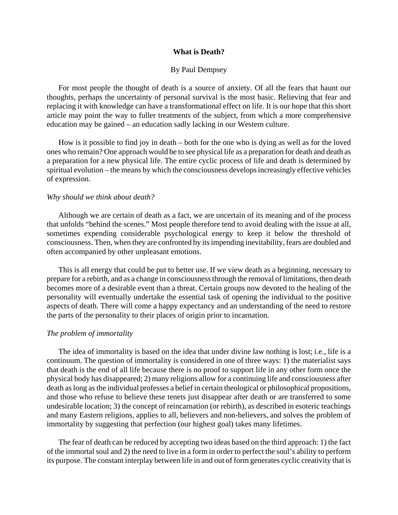## **What is Death?**

# By Paul Dempsey

 For most people the thought of death is a source of anxiety. Of all the fears that haunt our thoughts, perhaps the uncertainty of personal survival is the most basic. Relieving that fear and replacing it with knowledge can have a transformational effect on life. It is our hope that this short article may point the way to fuller treatments of the subject, from which a more comprehensive education may be gained – an education sadly lacking in our Western culture.

 How is it possible to find joy in death – both for the one who is dying as well as for the loved ones who remain? One approach would be to see physical life as a preparation for death and death as a preparation for a new physical life. The entire cyclic process of life and death is determined by spiritual evolution – the means by which the consciousness develops increasingly effective vehicles of expression.

# *Why should we think about death?*

 Although we are certain of death as a fact, we are uncertain of its meaning and of the process that unfolds "behind the scenes." Most people therefore tend to avoid dealing with the issue at all, sometimes expending considerable psychological energy to keep it below the threshold of consciousness. Then, when they are confronted by its impending inevitability, fears are doubled and often accompanied by other unpleasant emotions.

 This is all energy that could be put to better use. If we view death as a beginning, necessary to prepare for a rebirth, and as a change in consciousness through the removal of limitations, then death becomes more of a desirable event than a threat. Certain groups now devoted to the healing of the personality will eventually undertake the essential task of opening the individual to the positive aspects of death. There will come a happy expectancy and an understanding of the need to restore the parts of the personality to their places of origin prior to incarnation.

### *The problem of immortality*

 The idea of immortality is based on the idea that under divine law nothing is lost; i.e., life is a continuum. The question of immortality is considered in one of three ways: 1) the materialist says that death is the end of all life because there is no proof to support life in any other form once the physical body has disappeared; 2) many religions allow for a continuing life and consciousness after death as long as the individual professes a belief in certain theological or philosophical propositions, and those who refuse to believe these tenets just disappear after death or are transferred to some undesirable location; 3) the concept of reincarnation (or rebirth), as described in esoteric teachings and many Eastern religions, applies to all, believers and non-believers, and solves the problem of immortality by suggesting that perfection (our highest goal) takes many lifetimes.

 The fear of death can be reduced by accepting two ideas based on the third approach: 1) the fact of the immortal soul and 2) the need to live in a form in order to perfect the soul's ability to perform its purpose. The constant interplay between life in and out of form generates cyclic creativity that is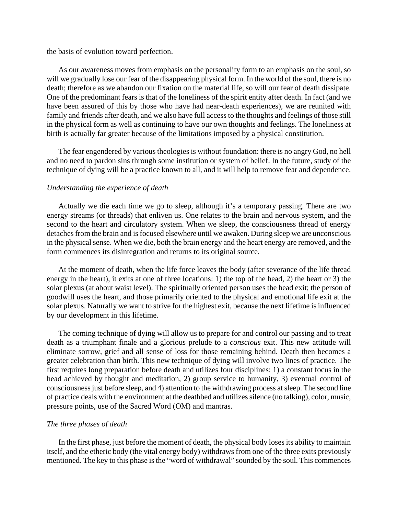the basis of evolution toward perfection.

 As our awareness moves from emphasis on the personality form to an emphasis on the soul, so will we gradually lose our fear of the disappearing physical form. In the world of the soul, there is no death; therefore as we abandon our fixation on the material life, so will our fear of death dissipate. One of the predominant fears is that of the loneliness of the spirit entity after death. In fact (and we have been assured of this by those who have had near-death experiences), we are reunited with family and friends after death, and we also have full access to the thoughts and feelings of those still in the physical form as well as continuing to have our own thoughts and feelings. The loneliness at birth is actually far greater because of the limitations imposed by a physical constitution.

 The fear engendered by various theologies is without foundation: there is no angry God, no hell and no need to pardon sins through some institution or system of belief. In the future, study of the technique of dying will be a practice known to all, and it will help to remove fear and dependence.

#### *Understanding the experience of death*

 Actually we die each time we go to sleep, although it's a temporary passing. There are two energy streams (or threads) that enliven us. One relates to the brain and nervous system, and the second to the heart and circulatory system. When we sleep, the consciousness thread of energy detaches from the brain and is focused elsewhere until we awaken. During sleep we are unconscious in the physical sense. When we die, both the brain energy and the heart energy are removed, and the form commences its disintegration and returns to its original source.

 At the moment of death, when the life force leaves the body (after severance of the life thread energy in the heart), it exits at one of three locations: 1) the top of the head, 2) the heart or 3) the solar plexus (at about waist level). The spiritually oriented person uses the head exit; the person of goodwill uses the heart, and those primarily oriented to the physical and emotional life exit at the solar plexus. Naturally we want to strive for the highest exit, because the next lifetime is influenced by our development in this lifetime.

 The coming technique of dying will allow us to prepare for and control our passing and to treat death as a triumphant finale and a glorious prelude to a *conscious* exit. This new attitude will eliminate sorrow, grief and all sense of loss for those remaining behind. Death then becomes a greater celebration than birth. This new technique of dying will involve two lines of practice. The first requires long preparation before death and utilizes four disciplines: 1) a constant focus in the head achieved by thought and meditation, 2) group service to humanity, 3) eventual control of consciousness just before sleep, and 4) attention to the withdrawing process at sleep. The second line of practice deals with the environment at the deathbed and utilizes silence (no talking), color, music, pressure points, use of the Sacred Word (OM) and mantras.

### *The three phases of death*

 In the first phase, just before the moment of death, the physical body loses its ability to maintain itself, and the etheric body (the vital energy body) withdraws from one of the three exits previously mentioned. The key to this phase is the "word of withdrawal" sounded by the soul. This commences